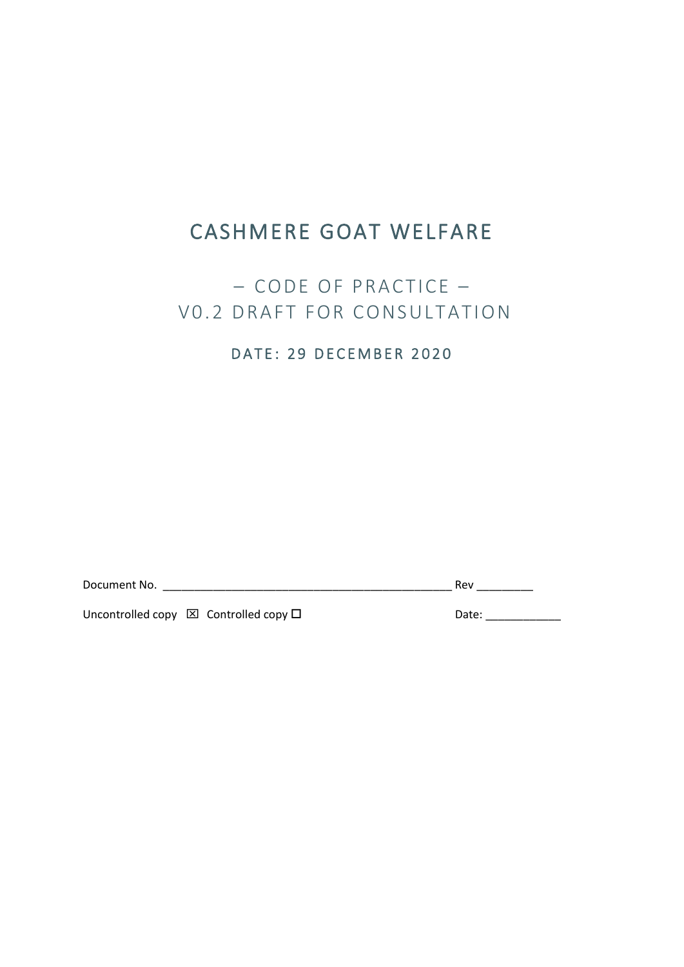# CASHMERE GOAT WELFARE

# – CODE OF PRACTICE – VO.2 DRAFT FOR CONSULTATION

# DATE: 29 DECEMBER 2020

Document No. \_\_\_\_\_\_\_\_\_\_\_\_\_\_\_\_\_\_\_\_\_\_\_\_\_\_\_\_\_\_\_\_\_\_\_\_\_\_\_\_\_\_\_\_\_\_ Rev \_\_\_\_\_\_\_\_\_

Uncontrolled copy  $\boxtimes$  Controlled copy  $\square$  Date: \_\_\_\_\_\_\_\_\_\_\_\_\_\_\_\_\_\_\_\_\_\_\_\_\_\_\_\_\_\_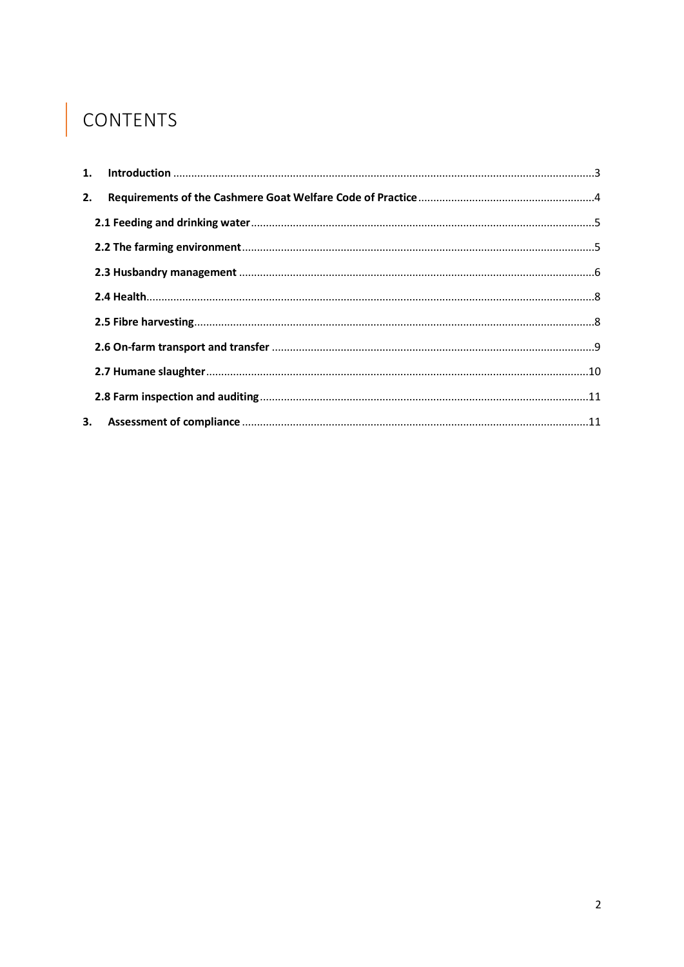# | CONTENTS

| 2. |  |
|----|--|
|    |  |
|    |  |
|    |  |
|    |  |
|    |  |
|    |  |
|    |  |
|    |  |
| 3. |  |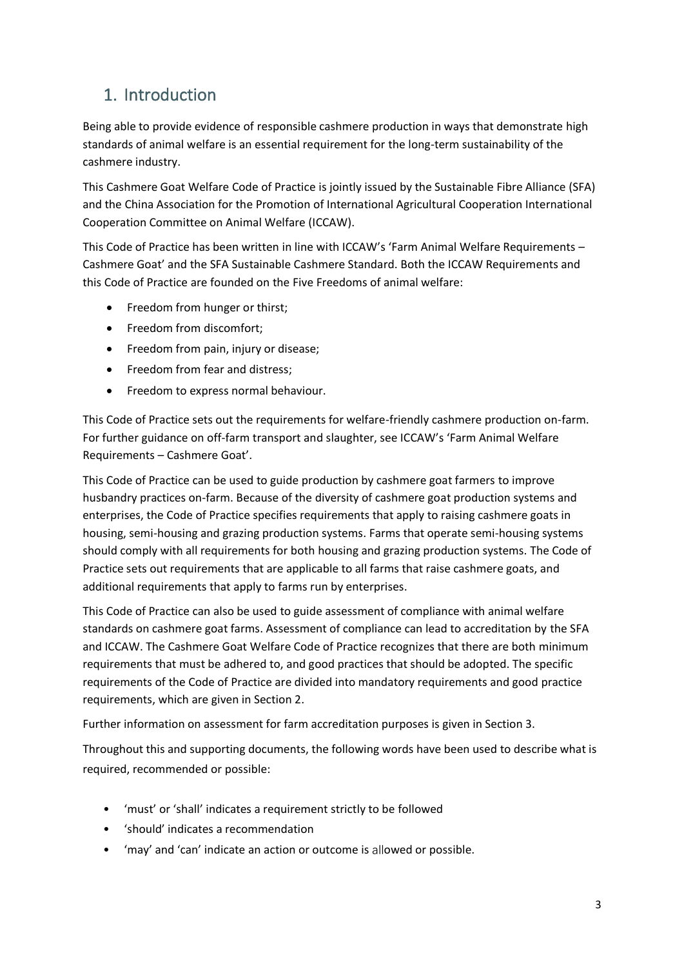# <span id="page-2-0"></span>1. Introduction

Being able to provide evidence of responsible cashmere production in ways that demonstrate high standards of animal welfare is an essential requirement for the long-term sustainability of the cashmere industry.

This Cashmere Goat Welfare Code of Practice is jointly issued by the Sustainable Fibre Alliance (SFA) and the China Association for the Promotion of International Agricultural Cooperation International Cooperation Committee on Animal Welfare (ICCAW).

This Code of Practice has been written in line with ICCAW's 'Farm Animal Welfare Requirements – Cashmere Goat' and the SFA Sustainable Cashmere Standard. Both the ICCAW Requirements and this Code of Practice are founded on the Five Freedoms of animal welfare:

- Freedom from hunger or thirst;
- Freedom from discomfort;
- Freedom from pain, injury or disease;
- Freedom from fear and distress;
- Freedom to express normal behaviour.

This Code of Practice sets out the requirements for welfare-friendly cashmere production on-farm. For further guidance on off-farm transport and slaughter, see ICCAW's 'Farm Animal Welfare Requirements – Cashmere Goat'.

This Code of Practice can be used to guide production by cashmere goat farmers to improve husbandry practices on-farm. Because of the diversity of cashmere goat production systems and enterprises, the Code of Practice specifies requirements that apply to raising cashmere goats in housing, semi-housing and grazing production systems. Farms that operate semi-housing systems should comply with all requirements for both housing and grazing production systems. The Code of Practice sets out requirements that are applicable to all farms that raise cashmere goats, and additional requirements that apply to farms run by enterprises.

This Code of Practice can also be used to guide assessment of compliance with animal welfare standards on cashmere goat farms. Assessment of compliance can lead to accreditation by the SFA and ICCAW. The Cashmere Goat Welfare Code of Practice recognizes that there are both minimum requirements that must be adhered to, and good practices that should be adopted. The specific requirements of the Code of Practice are divided into mandatory requirements and good practice requirements, which are given in Section 2.

Further information on assessment for farm accreditation purposes is given in Section 3.

Throughout this and supporting documents, the following words have been used to describe what is required, recommended or possible:

- 'must' or 'shall' indicates a requirement strictly to be followed
- 'should' indicates a recommendation
- 'may' and 'can' indicate an action or outcome is allowed or possible.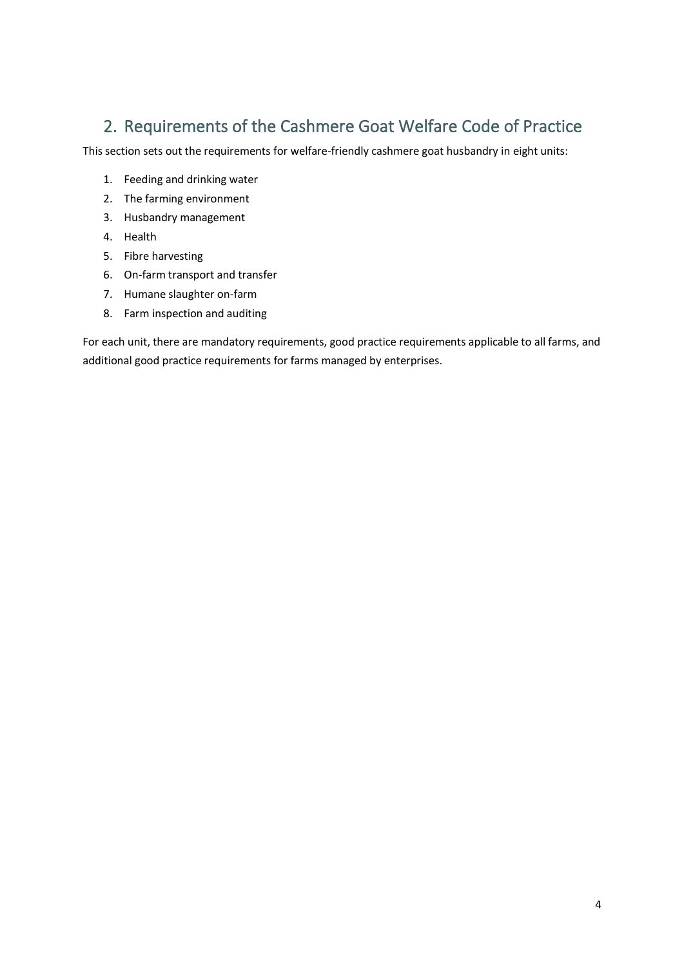# <span id="page-3-0"></span>2. Requirements of the Cashmere Goat Welfare Code of Practice

This section sets out the requirements for welfare-friendly cashmere goat husbandry in eight units:

- 1. Feeding and drinking water
- 2. The farming environment
- 3. Husbandry management
- 4. Health
- 5. Fibre harvesting
- 6. On-farm transport and transfer
- 7. Humane slaughter on-farm
- 8. Farm inspection and auditing

For each unit, there are mandatory requirements, good practice requirements applicable to all farms, and additional good practice requirements for farms managed by enterprises.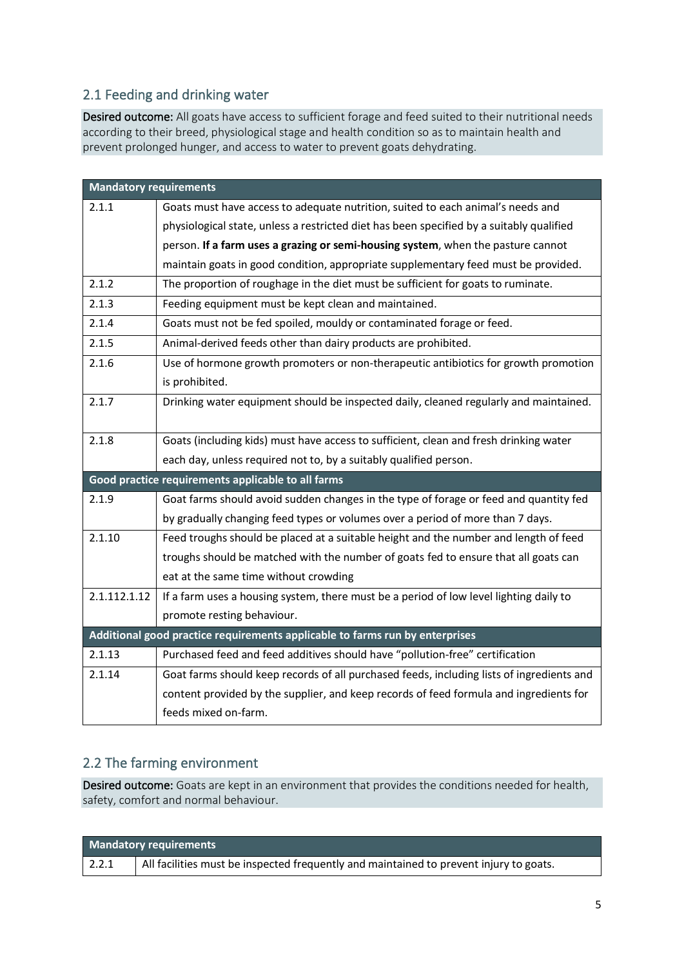#### <span id="page-4-0"></span>2.1 Feeding and drinking water

Desired outcome: All goats have access to sufficient forage and feed suited to their nutritional needs according to their breed, physiological stage and health condition so as to maintain health and prevent prolonged hunger, and access to water to prevent goats dehydrating.

| <b>Mandatory requirements</b> |                                                                                           |  |  |  |
|-------------------------------|-------------------------------------------------------------------------------------------|--|--|--|
| 2.1.1                         | Goats must have access to adequate nutrition, suited to each animal's needs and           |  |  |  |
|                               | physiological state, unless a restricted diet has been specified by a suitably qualified  |  |  |  |
|                               | person. If a farm uses a grazing or semi-housing system, when the pasture cannot          |  |  |  |
|                               | maintain goats in good condition, appropriate supplementary feed must be provided.        |  |  |  |
| 2.1.2                         | The proportion of roughage in the diet must be sufficient for goats to ruminate.          |  |  |  |
| 2.1.3                         | Feeding equipment must be kept clean and maintained.                                      |  |  |  |
| 2.1.4                         | Goats must not be fed spoiled, mouldy or contaminated forage or feed.                     |  |  |  |
| 2.1.5                         | Animal-derived feeds other than dairy products are prohibited.                            |  |  |  |
| 2.1.6                         | Use of hormone growth promoters or non-therapeutic antibiotics for growth promotion       |  |  |  |
|                               | is prohibited.                                                                            |  |  |  |
| 2.1.7                         | Drinking water equipment should be inspected daily, cleaned regularly and maintained.     |  |  |  |
|                               |                                                                                           |  |  |  |
| 2.1.8                         | Goats (including kids) must have access to sufficient, clean and fresh drinking water     |  |  |  |
|                               | each day, unless required not to, by a suitably qualified person.                         |  |  |  |
|                               | Good practice requirements applicable to all farms                                        |  |  |  |
| 2.1.9                         | Goat farms should avoid sudden changes in the type of forage or feed and quantity fed     |  |  |  |
|                               | by gradually changing feed types or volumes over a period of more than 7 days.            |  |  |  |
| 2.1.10                        | Feed troughs should be placed at a suitable height and the number and length of feed      |  |  |  |
|                               | troughs should be matched with the number of goats fed to ensure that all goats can       |  |  |  |
|                               | eat at the same time without crowding                                                     |  |  |  |
| 2.1.112.1.12                  | If a farm uses a housing system, there must be a period of low level lighting daily to    |  |  |  |
|                               | promote resting behaviour.                                                                |  |  |  |
|                               | Additional good practice requirements applicable to farms run by enterprises              |  |  |  |
| 2.1.13                        | Purchased feed and feed additives should have "pollution-free" certification              |  |  |  |
| 2.1.14                        | Goat farms should keep records of all purchased feeds, including lists of ingredients and |  |  |  |
|                               | content provided by the supplier, and keep records of feed formula and ingredients for    |  |  |  |
|                               | feeds mixed on-farm.                                                                      |  |  |  |

## <span id="page-4-1"></span>2.2 The farming environment

Desired outcome: Goats are kept in an environment that provides the conditions needed for health, safety, comfort and normal behaviour.

| <b>Mandatory requirements</b> |                                                                                        |  |  |  |
|-------------------------------|----------------------------------------------------------------------------------------|--|--|--|
| 2.2.1                         | All facilities must be inspected frequently and maintained to prevent injury to goats. |  |  |  |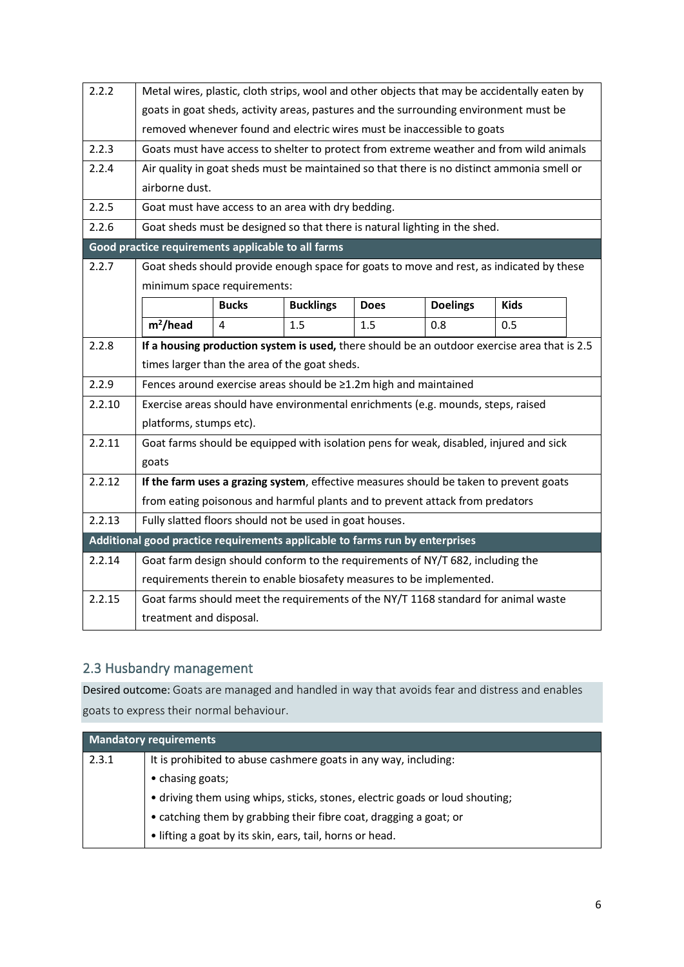| 2.2.2  | Metal wires, plastic, cloth strips, wool and other objects that may be accidentally eaten by |                                                                                |                  |             |                 |                                                                                              |  |
|--------|----------------------------------------------------------------------------------------------|--------------------------------------------------------------------------------|------------------|-------------|-----------------|----------------------------------------------------------------------------------------------|--|
|        | goats in goat sheds, activity areas, pastures and the surrounding environment must be        |                                                                                |                  |             |                 |                                                                                              |  |
|        | removed whenever found and electric wires must be inaccessible to goats                      |                                                                                |                  |             |                 |                                                                                              |  |
| 2.2.3  |                                                                                              |                                                                                |                  |             |                 | Goats must have access to shelter to protect from extreme weather and from wild animals      |  |
| 2.2.4  |                                                                                              |                                                                                |                  |             |                 | Air quality in goat sheds must be maintained so that there is no distinct ammonia smell or   |  |
|        | airborne dust.                                                                               |                                                                                |                  |             |                 |                                                                                              |  |
| 2.2.5  |                                                                                              | Goat must have access to an area with dry bedding.                             |                  |             |                 |                                                                                              |  |
| 2.2.6  |                                                                                              | Goat sheds must be designed so that there is natural lighting in the shed.     |                  |             |                 |                                                                                              |  |
|        | Good practice requirements applicable to all farms                                           |                                                                                |                  |             |                 |                                                                                              |  |
| 2.2.7  |                                                                                              |                                                                                |                  |             |                 | Goat sheds should provide enough space for goats to move and rest, as indicated by these     |  |
|        |                                                                                              | minimum space requirements:                                                    |                  |             |                 |                                                                                              |  |
|        |                                                                                              | <b>Bucks</b>                                                                   | <b>Bucklings</b> | <b>Does</b> | <b>Doelings</b> | <b>Kids</b>                                                                                  |  |
|        | m <sup>2</sup> /head                                                                         | 4                                                                              | 1.5              | 1.5         | 0.8             | 0.5                                                                                          |  |
| 2.2.8  |                                                                                              |                                                                                |                  |             |                 | If a housing production system is used, there should be an outdoor exercise area that is 2.5 |  |
|        |                                                                                              | times larger than the area of the goat sheds.                                  |                  |             |                 |                                                                                              |  |
| 2.2.9  | Fences around exercise areas should be ≥1.2m high and maintained                             |                                                                                |                  |             |                 |                                                                                              |  |
| 2.2.10 | Exercise areas should have environmental enrichments (e.g. mounds, steps, raised             |                                                                                |                  |             |                 |                                                                                              |  |
|        | platforms, stumps etc).                                                                      |                                                                                |                  |             |                 |                                                                                              |  |
| 2.2.11 | Goat farms should be equipped with isolation pens for weak, disabled, injured and sick       |                                                                                |                  |             |                 |                                                                                              |  |
|        | goats                                                                                        |                                                                                |                  |             |                 |                                                                                              |  |
| 2.2.12 | If the farm uses a grazing system, effective measures should be taken to prevent goats       |                                                                                |                  |             |                 |                                                                                              |  |
|        | from eating poisonous and harmful plants and to prevent attack from predators                |                                                                                |                  |             |                 |                                                                                              |  |
| 2.2.13 | Fully slatted floors should not be used in goat houses.                                      |                                                                                |                  |             |                 |                                                                                              |  |
|        | Additional good practice requirements applicable to farms run by enterprises                 |                                                                                |                  |             |                 |                                                                                              |  |
| 2.2.14 |                                                                                              | Goat farm design should conform to the requirements of NY/T 682, including the |                  |             |                 |                                                                                              |  |
|        | requirements therein to enable biosafety measures to be implemented.                         |                                                                                |                  |             |                 |                                                                                              |  |
| 2.2.15 |                                                                                              |                                                                                |                  |             |                 | Goat farms should meet the requirements of the NY/T 1168 standard for animal waste           |  |
|        | treatment and disposal.                                                                      |                                                                                |                  |             |                 |                                                                                              |  |

## <span id="page-5-0"></span>2.3 Husbandry management

Desired outcome: Goats are managed and handled in way that avoids fear and distress and enables goats to express their normal behaviour.

| <b>Mandatory requirements</b> |                                                                              |  |  |
|-------------------------------|------------------------------------------------------------------------------|--|--|
| 2.3.1                         | It is prohibited to abuse cashmere goats in any way, including:              |  |  |
|                               | • chasing goats;                                                             |  |  |
|                               | • driving them using whips, sticks, stones, electric goads or loud shouting; |  |  |
|                               | • catching them by grabbing their fibre coat, dragging a goat; or            |  |  |
|                               | • lifting a goat by its skin, ears, tail, horns or head.                     |  |  |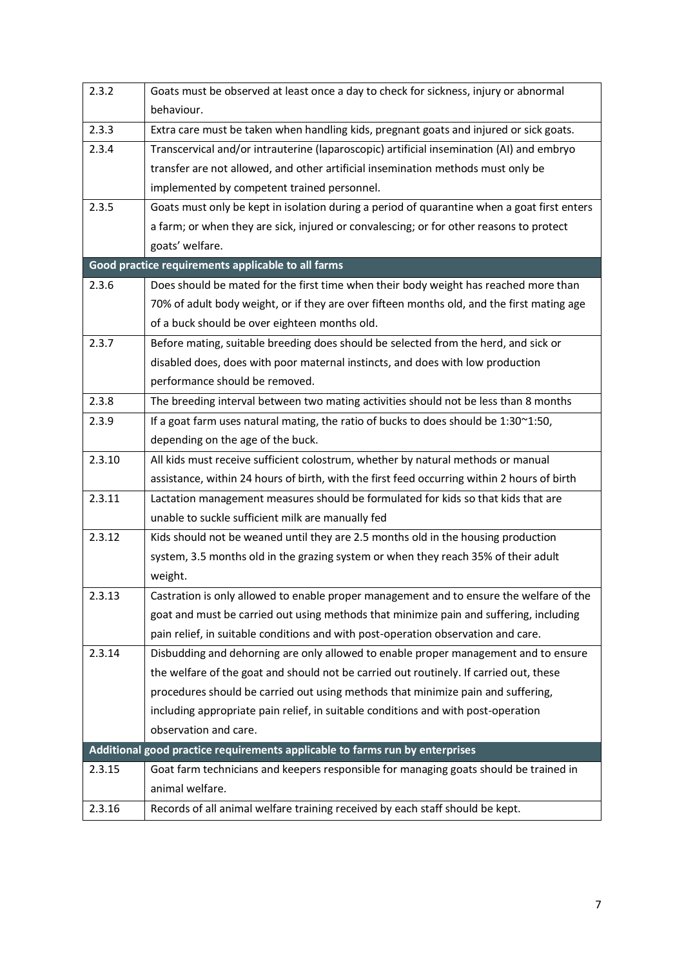| 2.3.2  | Goats must be observed at least once a day to check for sickness, injury or abnormal        |  |  |  |
|--------|---------------------------------------------------------------------------------------------|--|--|--|
|        | behaviour.                                                                                  |  |  |  |
| 2.3.3  | Extra care must be taken when handling kids, pregnant goats and injured or sick goats.      |  |  |  |
| 2.3.4  | Transcervical and/or intrauterine (laparoscopic) artificial insemination (AI) and embryo    |  |  |  |
|        | transfer are not allowed, and other artificial insemination methods must only be            |  |  |  |
|        | implemented by competent trained personnel.                                                 |  |  |  |
| 2.3.5  | Goats must only be kept in isolation during a period of quarantine when a goat first enters |  |  |  |
|        | a farm; or when they are sick, injured or convalescing; or for other reasons to protect     |  |  |  |
|        | goats' welfare.                                                                             |  |  |  |
|        | Good practice requirements applicable to all farms                                          |  |  |  |
| 2.3.6  | Does should be mated for the first time when their body weight has reached more than        |  |  |  |
|        | 70% of adult body weight, or if they are over fifteen months old, and the first mating age  |  |  |  |
|        | of a buck should be over eighteen months old.                                               |  |  |  |
| 2.3.7  | Before mating, suitable breeding does should be selected from the herd, and sick or         |  |  |  |
|        | disabled does, does with poor maternal instincts, and does with low production              |  |  |  |
|        | performance should be removed.                                                              |  |  |  |
| 2.3.8  | The breeding interval between two mating activities should not be less than 8 months        |  |  |  |
| 2.3.9  | If a goat farm uses natural mating, the ratio of bucks to does should be 1:30~1:50,         |  |  |  |
|        | depending on the age of the buck.                                                           |  |  |  |
| 2.3.10 | All kids must receive sufficient colostrum, whether by natural methods or manual            |  |  |  |
|        | assistance, within 24 hours of birth, with the first feed occurring within 2 hours of birth |  |  |  |
| 2.3.11 | Lactation management measures should be formulated for kids so that kids that are           |  |  |  |
|        | unable to suckle sufficient milk are manually fed                                           |  |  |  |
| 2.3.12 | Kids should not be weaned until they are 2.5 months old in the housing production           |  |  |  |
|        | system, 3.5 months old in the grazing system or when they reach 35% of their adult          |  |  |  |
|        | weight.                                                                                     |  |  |  |
| 2.3.13 | Castration is only allowed to enable proper management and to ensure the welfare of the     |  |  |  |
|        | goat and must be carried out using methods that minimize pain and suffering, including      |  |  |  |
|        | pain relief, in suitable conditions and with post-operation observation and care.           |  |  |  |
| 2.3.14 | Disbudding and dehorning are only allowed to enable proper management and to ensure         |  |  |  |
|        | the welfare of the goat and should not be carried out routinely. If carried out, these      |  |  |  |
|        | procedures should be carried out using methods that minimize pain and suffering,            |  |  |  |
|        | including appropriate pain relief, in suitable conditions and with post-operation           |  |  |  |
|        | observation and care.                                                                       |  |  |  |
|        | Additional good practice requirements applicable to farms run by enterprises                |  |  |  |
| 2.3.15 | Goat farm technicians and keepers responsible for managing goats should be trained in       |  |  |  |
|        | animal welfare.                                                                             |  |  |  |
| 2.3.16 | Records of all animal welfare training received by each staff should be kept.               |  |  |  |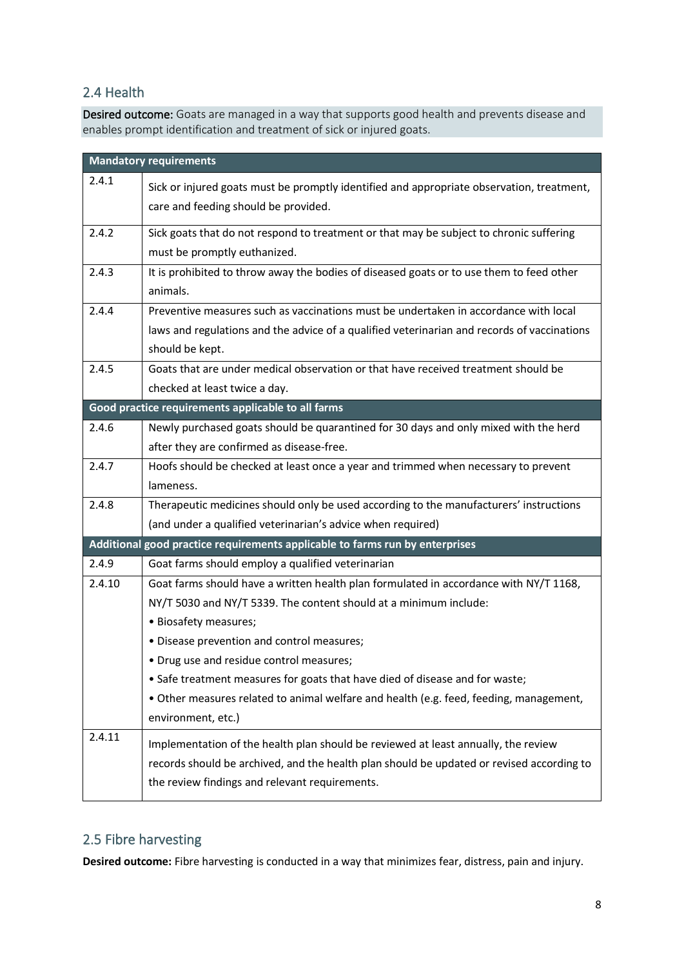#### <span id="page-7-0"></span>2.4 Health

Desired outcome: Goats are managed in a way that supports good health and prevents disease and enables prompt identification and treatment of sick or injured goats.

|                                                                              | <b>Mandatory requirements</b>                                                                                                                                                                                                     |  |  |
|------------------------------------------------------------------------------|-----------------------------------------------------------------------------------------------------------------------------------------------------------------------------------------------------------------------------------|--|--|
| 2.4.1                                                                        | Sick or injured goats must be promptly identified and appropriate observation, treatment,<br>care and feeding should be provided.                                                                                                 |  |  |
| 2.4.2                                                                        | Sick goats that do not respond to treatment or that may be subject to chronic suffering<br>must be promptly euthanized.                                                                                                           |  |  |
| 2.4.3                                                                        | It is prohibited to throw away the bodies of diseased goats or to use them to feed other<br>animals.                                                                                                                              |  |  |
| 2.4.4                                                                        | Preventive measures such as vaccinations must be undertaken in accordance with local<br>laws and regulations and the advice of a qualified veterinarian and records of vaccinations<br>should be kept.                            |  |  |
| 2.4.5                                                                        | Goats that are under medical observation or that have received treatment should be<br>checked at least twice a day.                                                                                                               |  |  |
|                                                                              | Good practice requirements applicable to all farms                                                                                                                                                                                |  |  |
| 2.4.6                                                                        | Newly purchased goats should be quarantined for 30 days and only mixed with the herd<br>after they are confirmed as disease-free.                                                                                                 |  |  |
| 2.4.7                                                                        | Hoofs should be checked at least once a year and trimmed when necessary to prevent<br>lameness.                                                                                                                                   |  |  |
| 2.4.8                                                                        | Therapeutic medicines should only be used according to the manufacturers' instructions<br>(and under a qualified veterinarian's advice when required)                                                                             |  |  |
| Additional good practice requirements applicable to farms run by enterprises |                                                                                                                                                                                                                                   |  |  |
| 2.4.9                                                                        | Goat farms should employ a qualified veterinarian                                                                                                                                                                                 |  |  |
| 2.4.10                                                                       | Goat farms should have a written health plan formulated in accordance with NY/T 1168,<br>NY/T 5030 and NY/T 5339. The content should at a minimum include:                                                                        |  |  |
|                                                                              | · Biosafety measures;<br>· Disease prevention and control measures;<br>• Drug use and residue control measures;                                                                                                                   |  |  |
|                                                                              | • Safe treatment measures for goats that have died of disease and for waste;<br>. Other measures related to animal welfare and health (e.g. feed, feeding, management,<br>environment, etc.)                                      |  |  |
| 2.4.11                                                                       | Implementation of the health plan should be reviewed at least annually, the review<br>records should be archived, and the health plan should be updated or revised according to<br>the review findings and relevant requirements. |  |  |

## <span id="page-7-1"></span>2.5 Fibre harvesting

**Desired outcome:** Fibre harvesting is conducted in a way that minimizes fear, distress, pain and injury.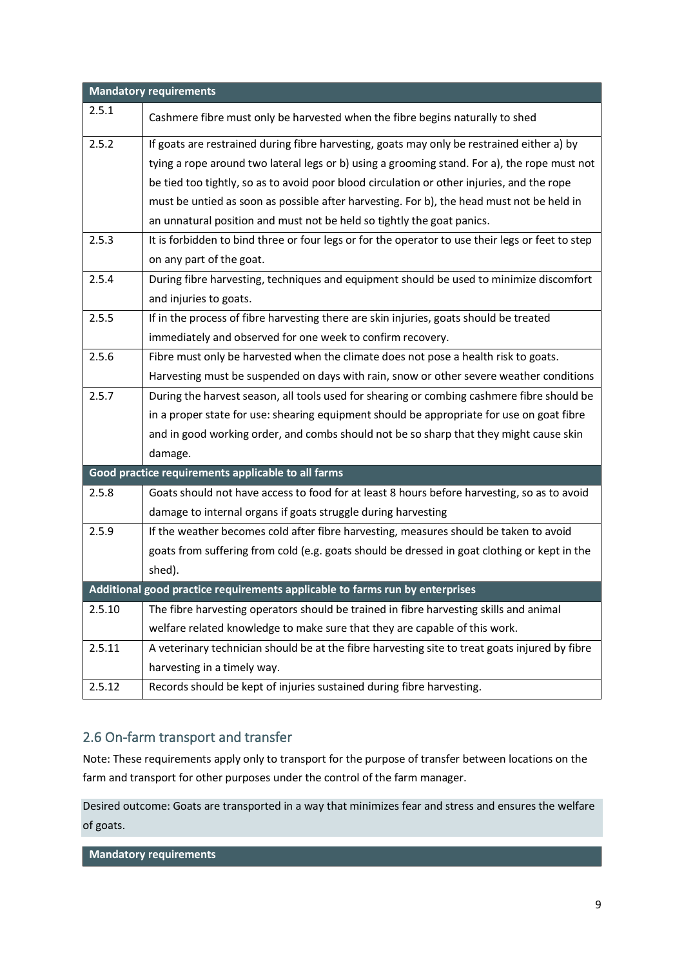| <b>Mandatory requirements</b> |                                                                                                  |  |  |
|-------------------------------|--------------------------------------------------------------------------------------------------|--|--|
| 2.5.1                         | Cashmere fibre must only be harvested when the fibre begins naturally to shed                    |  |  |
| 2.5.2                         | If goats are restrained during fibre harvesting, goats may only be restrained either a) by       |  |  |
|                               | tying a rope around two lateral legs or b) using a grooming stand. For a), the rope must not     |  |  |
|                               | be tied too tightly, so as to avoid poor blood circulation or other injuries, and the rope       |  |  |
|                               | must be untied as soon as possible after harvesting. For b), the head must not be held in        |  |  |
|                               | an unnatural position and must not be held so tightly the goat panics.                           |  |  |
| 2.5.3                         | It is forbidden to bind three or four legs or for the operator to use their legs or feet to step |  |  |
|                               | on any part of the goat.                                                                         |  |  |
| 2.5.4                         | During fibre harvesting, techniques and equipment should be used to minimize discomfort          |  |  |
|                               | and injuries to goats.                                                                           |  |  |
| 2.5.5                         | If in the process of fibre harvesting there are skin injuries, goats should be treated           |  |  |
|                               | immediately and observed for one week to confirm recovery.                                       |  |  |
| 2.5.6                         | Fibre must only be harvested when the climate does not pose a health risk to goats.              |  |  |
|                               | Harvesting must be suspended on days with rain, snow or other severe weather conditions          |  |  |
| 2.5.7                         | During the harvest season, all tools used for shearing or combing cashmere fibre should be       |  |  |
|                               | in a proper state for use: shearing equipment should be appropriate for use on goat fibre        |  |  |
|                               | and in good working order, and combs should not be so sharp that they might cause skin           |  |  |
|                               | damage.                                                                                          |  |  |
|                               | Good practice requirements applicable to all farms                                               |  |  |
| 2.5.8                         | Goats should not have access to food for at least 8 hours before harvesting, so as to avoid      |  |  |
|                               | damage to internal organs if goats struggle during harvesting                                    |  |  |
| 2.5.9                         | If the weather becomes cold after fibre harvesting, measures should be taken to avoid            |  |  |
|                               | goats from suffering from cold (e.g. goats should be dressed in goat clothing or kept in the     |  |  |
|                               | shed).                                                                                           |  |  |
|                               | Additional good practice requirements applicable to farms run by enterprises                     |  |  |
| 2.5.10                        | The fibre harvesting operators should be trained in fibre harvesting skills and animal           |  |  |
|                               | welfare related knowledge to make sure that they are capable of this work.                       |  |  |
| 2.5.11                        | A veterinary technician should be at the fibre harvesting site to treat goats injured by fibre   |  |  |
|                               | harvesting in a timely way.                                                                      |  |  |
| 2.5.12                        | Records should be kept of injuries sustained during fibre harvesting.                            |  |  |

## <span id="page-8-0"></span>2.6 On-farm transport and transfer

Note: These requirements apply only to transport for the purpose of transfer between locations on the farm and transport for other purposes under the control of the farm manager.

Desired outcome: Goats are transported in a way that minimizes fear and stress and ensures the welfare of goats.

**Mandatory requirements**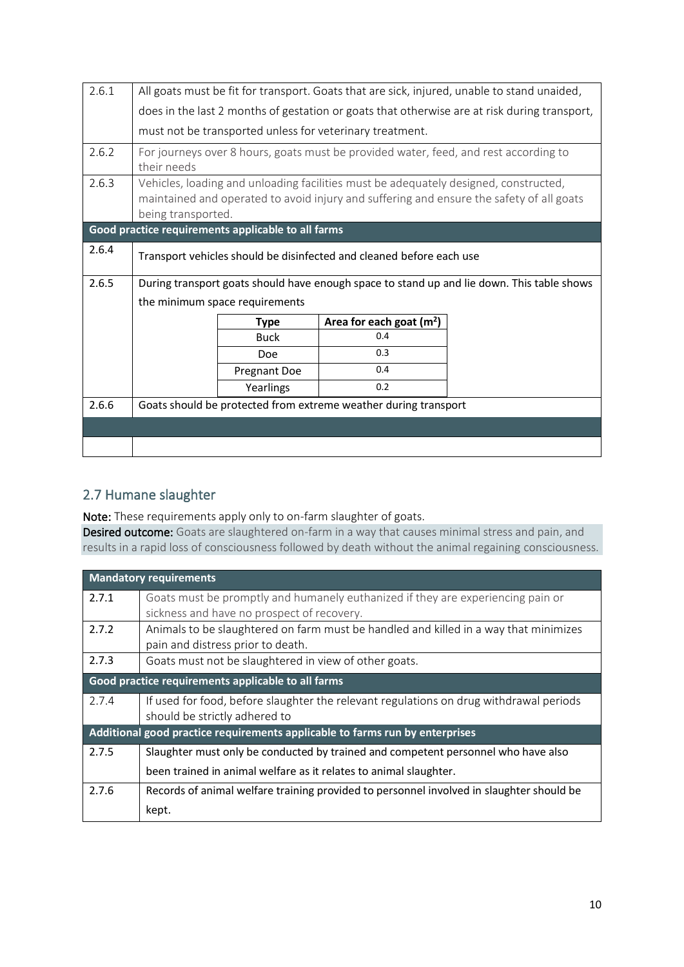| 2.6.1 | All goats must be fit for transport. Goats that are sick, injured, unable to stand unaided,                                                                                                            |                                                    |                                                                                      |  |
|-------|--------------------------------------------------------------------------------------------------------------------------------------------------------------------------------------------------------|----------------------------------------------------|--------------------------------------------------------------------------------------|--|
|       | does in the last 2 months of gestation or goats that otherwise are at risk during transport,                                                                                                           |                                                    |                                                                                      |  |
|       |                                                                                                                                                                                                        |                                                    | must not be transported unless for veterinary treatment.                             |  |
| 2.6.2 | their needs                                                                                                                                                                                            |                                                    | For journeys over 8 hours, goats must be provided water, feed, and rest according to |  |
| 2.6.3 | Vehicles, loading and unloading facilities must be adequately designed, constructed,<br>maintained and operated to avoid injury and suffering and ensure the safety of all goats<br>being transported. |                                                    |                                                                                      |  |
|       |                                                                                                                                                                                                        | Good practice requirements applicable to all farms |                                                                                      |  |
| 2.6.4 | Transport vehicles should be disinfected and cleaned before each use                                                                                                                                   |                                                    |                                                                                      |  |
| 2.6.5 | During transport goats should have enough space to stand up and lie down. This table shows                                                                                                             |                                                    |                                                                                      |  |
|       | the minimum space requirements                                                                                                                                                                         |                                                    |                                                                                      |  |
|       |                                                                                                                                                                                                        | <b>Type</b>                                        | Area for each goat $(m2)$                                                            |  |
|       |                                                                                                                                                                                                        | <b>Buck</b>                                        | 0.4                                                                                  |  |
|       |                                                                                                                                                                                                        | Doe                                                | 0.3                                                                                  |  |
|       |                                                                                                                                                                                                        | Pregnant Doe                                       | 0.4                                                                                  |  |
|       |                                                                                                                                                                                                        | Yearlings                                          | 0.2                                                                                  |  |
| 2.6.6 | Goats should be protected from extreme weather during transport                                                                                                                                        |                                                    |                                                                                      |  |
|       |                                                                                                                                                                                                        |                                                    |                                                                                      |  |
|       |                                                                                                                                                                                                        |                                                    |                                                                                      |  |

## <span id="page-9-0"></span>2.7 Humane slaughter

Note: These requirements apply only to on-farm slaughter of goats.

Desired outcome: Goats are slaughtered on-farm in a way that causes minimal stress and pain, and results in a rapid loss of consciousness followed by death without the animal regaining consciousness.

|                                                                              | <b>Mandatory requirements</b>                                                            |  |  |  |
|------------------------------------------------------------------------------|------------------------------------------------------------------------------------------|--|--|--|
| 2.7.1                                                                        | Goats must be promptly and humanely euthanized if they are experiencing pain or          |  |  |  |
|                                                                              | sickness and have no prospect of recovery.                                               |  |  |  |
| 2.7.2                                                                        | Animals to be slaughtered on farm must be handled and killed in a way that minimizes     |  |  |  |
|                                                                              | pain and distress prior to death.                                                        |  |  |  |
| 2.7.3                                                                        | Goats must not be slaughtered in view of other goats.                                    |  |  |  |
|                                                                              | Good practice requirements applicable to all farms                                       |  |  |  |
| 2.7.4                                                                        | If used for food, before slaughter the relevant regulations on drug withdrawal periods   |  |  |  |
|                                                                              | should be strictly adhered to                                                            |  |  |  |
| Additional good practice requirements applicable to farms run by enterprises |                                                                                          |  |  |  |
| 2.7.5                                                                        | Slaughter must only be conducted by trained and competent personnel who have also        |  |  |  |
|                                                                              | been trained in animal welfare as it relates to animal slaughter.                        |  |  |  |
| 2.7.6                                                                        | Records of animal welfare training provided to personnel involved in slaughter should be |  |  |  |
|                                                                              | kept.                                                                                    |  |  |  |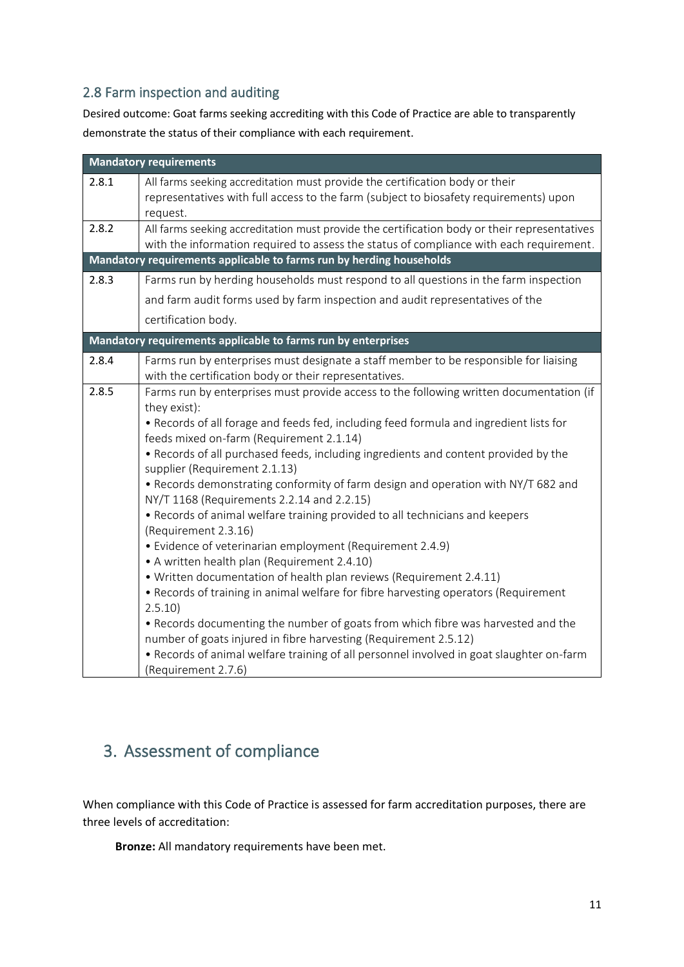## <span id="page-10-0"></span>2.8 Farm inspection and auditing

Desired outcome: Goat farms seeking accrediting with this Code of Practice are able to transparently demonstrate the status of their compliance with each requirement.

|       | <b>Mandatory requirements</b>                                                                                                                                                           |
|-------|-----------------------------------------------------------------------------------------------------------------------------------------------------------------------------------------|
| 2.8.1 | All farms seeking accreditation must provide the certification body or their<br>representatives with full access to the farm (subject to biosafety requirements) upon                   |
|       | request.                                                                                                                                                                                |
| 2.8.2 | All farms seeking accreditation must provide the certification body or their representatives<br>with the information required to assess the status of compliance with each requirement. |
|       | Mandatory requirements applicable to farms run by herding households                                                                                                                    |
| 2.8.3 | Farms run by herding households must respond to all questions in the farm inspection                                                                                                    |
|       | and farm audit forms used by farm inspection and audit representatives of the                                                                                                           |
|       | certification body.                                                                                                                                                                     |
|       | Mandatory requirements applicable to farms run by enterprises                                                                                                                           |
| 2.8.4 | Farms run by enterprises must designate a staff member to be responsible for liaising<br>with the certification body or their representatives.                                          |
| 2.8.5 | Farms run by enterprises must provide access to the following written documentation (if                                                                                                 |
|       | they exist):<br>• Records of all forage and feeds fed, including feed formula and ingredient lists for                                                                                  |
|       | feeds mixed on-farm (Requirement 2.1.14)                                                                                                                                                |
|       | . Records of all purchased feeds, including ingredients and content provided by the<br>supplier (Requirement 2.1.13)                                                                    |
|       | • Records demonstrating conformity of farm design and operation with NY/T 682 and                                                                                                       |
|       | NY/T 1168 (Requirements 2.2.14 and 2.2.15)<br>. Records of animal welfare training provided to all technicians and keepers                                                              |
|       | (Requirement 2.3.16)                                                                                                                                                                    |
|       | • Evidence of veterinarian employment (Requirement 2.4.9)<br>• A written health plan (Requirement 2.4.10)                                                                               |
|       | • Written documentation of health plan reviews (Requirement 2.4.11)                                                                                                                     |
|       | • Records of training in animal welfare for fibre harvesting operators (Requirement                                                                                                     |
|       | 2.5.10                                                                                                                                                                                  |
|       | • Records documenting the number of goats from which fibre was harvested and the<br>number of goats injured in fibre harvesting (Requirement 2.5.12)                                    |
|       | . Records of animal welfare training of all personnel involved in goat slaughter on-farm                                                                                                |
|       | (Requirement 2.7.6)                                                                                                                                                                     |

# <span id="page-10-1"></span>3. Assessment of compliance

When compliance with this Code of Practice is assessed for farm accreditation purposes, there are three levels of accreditation:

**Bronze:** All mandatory requirements have been met.